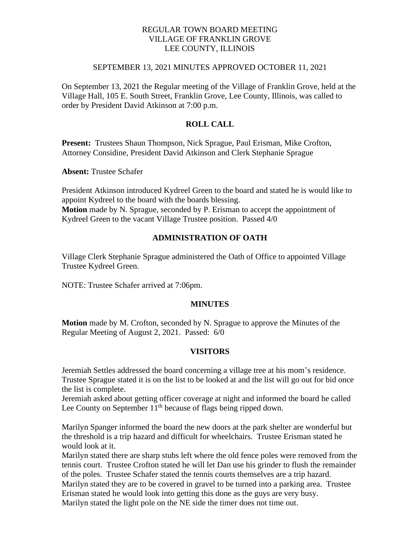# REGULAR TOWN BOARD MEETING VILLAGE OF FRANKLIN GROVE LEE COUNTY, ILLINOIS

### SEPTEMBER 13, 2021 MINUTES APPROVED OCTOBER 11, 2021

On September 13, 2021 the Regular meeting of the Village of Franklin Grove, held at the Village Hall, 105 E. South Street, Franklin Grove, Lee County, Illinois, was called to order by President David Atkinson at 7:00 p.m.

# **ROLL CALL**

**Present:** Trustees Shaun Thompson, Nick Sprague, Paul Erisman, Mike Crofton, Attorney Considine, President David Atkinson and Clerk Stephanie Sprague

**Absent:** Trustee Schafer

President Atkinson introduced Kydreel Green to the board and stated he is would like to appoint Kydreel to the board with the boards blessing. **Motion** made by N. Sprague, seconded by P. Erisman to accept the appointment of Kydreel Green to the vacant Village Trustee position. Passed 4/0

# **ADMINISTRATION OF OATH**

Village Clerk Stephanie Sprague administered the Oath of Office to appointed Village Trustee Kydreel Green.

NOTE: Trustee Schafer arrived at 7:06pm.

# **MINUTES**

**Motion** made by M. Crofton, seconded by N. Sprague to approve the Minutes of the Regular Meeting of August 2, 2021. Passed: 6/0

# **VISITORS**

Jeremiah Settles addressed the board concerning a village tree at his mom's residence. Trustee Sprague stated it is on the list to be looked at and the list will go out for bid once the list is complete.

Jeremiah asked about getting officer coverage at night and informed the board he called Lee County on September  $11<sup>th</sup>$  because of flags being ripped down.

Marilyn Spanger informed the board the new doors at the park shelter are wonderful but the threshold is a trip hazard and difficult for wheelchairs. Trustee Erisman stated he would look at it.

Marilyn stated there are sharp stubs left where the old fence poles were removed from the tennis court. Trustee Crofton stated he will let Dan use his grinder to flush the remainder of the poles. Trustee Schafer stated the tennis courts themselves are a trip hazard. Marilyn stated they are to be covered in gravel to be turned into a parking area. Trustee Erisman stated he would look into getting this done as the guys are very busy. Marilyn stated the light pole on the NE side the timer does not time out.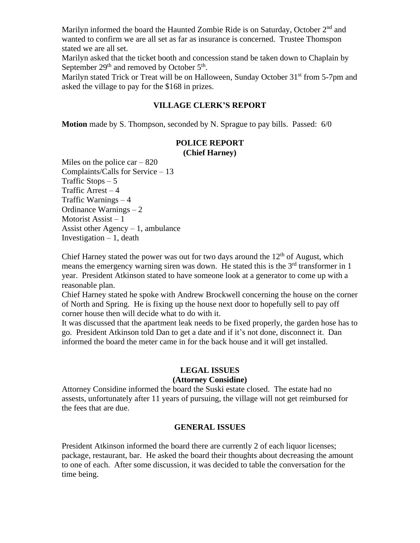Marilyn informed the board the Haunted Zombie Ride is on Saturday, October 2<sup>nd</sup> and wanted to confirm we are all set as far as insurance is concerned. Trustee Thomspon stated we are all set.

Marilyn asked that the ticket booth and concession stand be taken down to Chaplain by September  $29<sup>th</sup>$  and removed by October  $5<sup>th</sup>$ .

Marilyn stated Trick or Treat will be on Halloween, Sunday October 31<sup>st</sup> from 5-7pm and asked the village to pay for the \$168 in prizes.

# **VILLAGE CLERK'S REPORT**

**Motion** made by S. Thompson, seconded by N. Sprague to pay bills. Passed: 6/0

### **POLICE REPORT (Chief Harney)**

Miles on the police car  $-820$ Complaints/Calls for Service – 13 Traffic Stops  $-5$ Traffic Arrest  $-4$ Traffic Warnings – 4 Ordinance Warnings – 2 Motorist Assist – 1 Assist other  $Agency - 1$ , ambulance Investigation  $-1$ , death

Chief Harney stated the power was out for two days around the  $12<sup>th</sup>$  of August, which means the emergency warning siren was down. He stated this is the  $3<sup>rd</sup>$  transformer in 1 year. President Atkinson stated to have someone look at a generator to come up with a reasonable plan.

Chief Harney stated he spoke with Andrew Brockwell concerning the house on the corner of North and Spring. He is fixing up the house next door to hopefully sell to pay off corner house then will decide what to do with it.

It was discussed that the apartment leak needs to be fixed properly, the garden hose has to go. President Atkinson told Dan to get a date and if it's not done, disconnect it. Dan informed the board the meter came in for the back house and it will get installed.

# **LEGAL ISSUES**

# **(Attorney Considine)**

Attorney Considine informed the board the Suski estate closed. The estate had no assests, unfortunately after 11 years of pursuing, the village will not get reimbursed for the fees that are due.

# **GENERAL ISSUES**

President Atkinson informed the board there are currently 2 of each liquor licenses; package, restaurant, bar. He asked the board their thoughts about decreasing the amount to one of each. After some discussion, it was decided to table the conversation for the time being.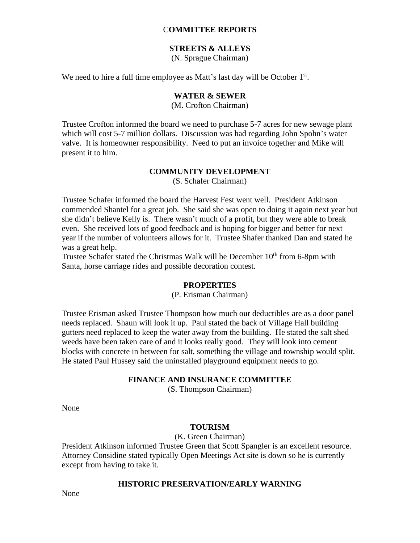### C**OMMITTEE REPORTS**

# **STREETS & ALLEYS**

(N. Sprague Chairman)

We need to hire a full time employee as Matt's last day will be October 1<sup>st</sup>.

#### **WATER & SEWER**

(M. Crofton Chairman)

Trustee Crofton informed the board we need to purchase 5-7 acres for new sewage plant which will cost 5-7 million dollars. Discussion was had regarding John Spohn's water valve. It is homeowner responsibility. Need to put an invoice together and Mike will present it to him.

#### **COMMUNITY DEVELOPMENT**

(S. Schafer Chairman)

Trustee Schafer informed the board the Harvest Fest went well. President Atkinson commended Shantel for a great job. She said she was open to doing it again next year but she didn't believe Kelly is. There wasn't much of a profit, but they were able to break even. She received lots of good feedback and is hoping for bigger and better for next year if the number of volunteers allows for it. Trustee Shafer thanked Dan and stated he was a great help.

Trustee Schafer stated the Christmas Walk will be December 10<sup>th</sup> from 6-8pm with Santa, horse carriage rides and possible decoration contest.

#### **PROPERTIES**

### (P. Erisman Chairman)

Trustee Erisman asked Trustee Thompson how much our deductibles are as a door panel needs replaced. Shaun will look it up. Paul stated the back of Village Hall building gutters need replaced to keep the water away from the building. He stated the salt shed weeds have been taken care of and it looks really good. They will look into cement blocks with concrete in between for salt, something the village and township would split. He stated Paul Hussey said the uninstalled playground equipment needs to go.

#### **FINANCE AND INSURANCE COMMITTEE**

(S. Thompson Chairman)

None

### **TOURISM**

(K. Green Chairman)

President Atkinson informed Trustee Green that Scott Spangler is an excellent resource. Attorney Considine stated typically Open Meetings Act site is down so he is currently except from having to take it.

#### **HISTORIC PRESERVATION/EARLY WARNING**

None